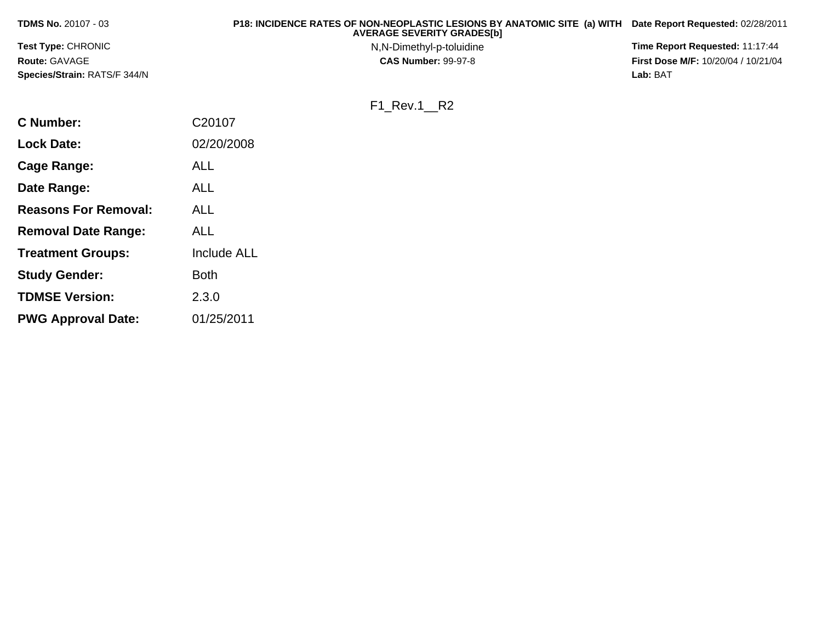| <b>TDMS No. 20107 - 03</b>   | P18: INCIDENCE RATES OF NON-NEOPLASTIC LESIONS BY ANATOMIC SITE (a) WITH<br><b>AVERAGE SEVERITY GRADESIbI</b> | Date Report Requested: 02/28/2011          |
|------------------------------|---------------------------------------------------------------------------------------------------------------|--------------------------------------------|
| <b>Test Type: CHRONIC</b>    | N,N-Dimethyl-p-toluidine                                                                                      | Time Report Requested: 11:17:44            |
| <b>Route: GAVAGE</b>         | <b>CAS Number: 99-97-8</b>                                                                                    | <b>First Dose M/F: 10/20/04 / 10/21/04</b> |
| Species/Strain: RATS/F 344/N |                                                                                                               | Lab: BAT                                   |
|                              |                                                                                                               |                                            |

F1\_Rev.1\_\_R2

**C Number:** C20107**Lock Date:** 02/20/2008**Cage Range:** ALL**Date Range:** ALL**Reasons For Removal:** ALL**Removal Date Range:** ALL**Treatment Groups:** Include ALL**Study Gender:** Both**TDMSE Version:**2.3.0

**PWG Approval Date:**01/25/2011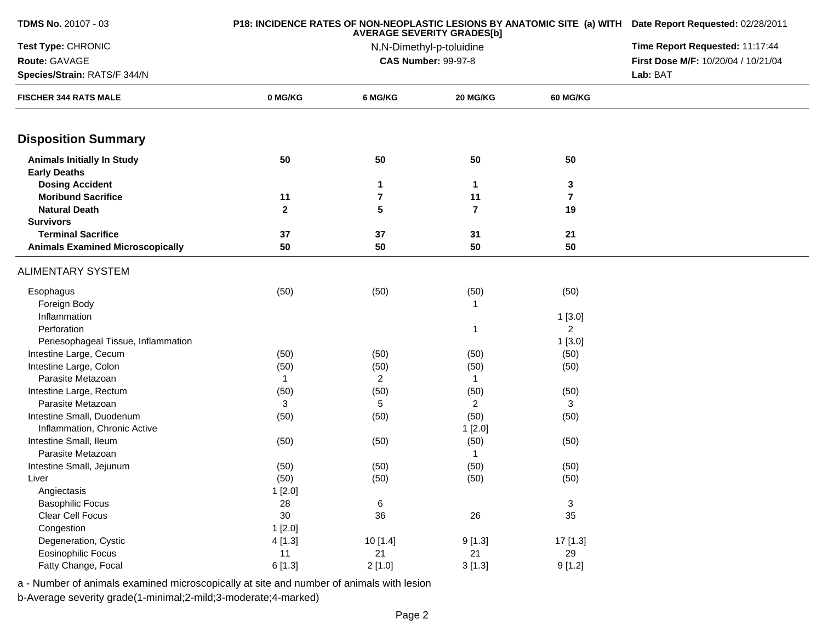| <b>TDMS No. 20107 - 03</b>              |              | P18: INCIDENCE RATES OF NON-NEOPLASTIC LESIONS BY ANATOMIC SITE (a) WITH Date Report Requested: 02/28/2011 |                            |                           |                                     |
|-----------------------------------------|--------------|------------------------------------------------------------------------------------------------------------|----------------------------|---------------------------|-------------------------------------|
| Test Type: CHRONIC                      |              | Time Report Requested: 11:17:44                                                                            |                            |                           |                                     |
| Route: GAVAGE                           |              |                                                                                                            | <b>CAS Number: 99-97-8</b> |                           | First Dose M/F: 10/20/04 / 10/21/04 |
| Species/Strain: RATS/F 344/N            |              |                                                                                                            |                            |                           | Lab: BAT                            |
| <b>FISCHER 344 RATS MALE</b>            | 0 MG/KG      | 6 MG/KG                                                                                                    | 20 MG/KG                   | 60 MG/KG                  |                                     |
| <b>Disposition Summary</b>              |              |                                                                                                            |                            |                           |                                     |
| <b>Animals Initially In Study</b>       | 50           | 50                                                                                                         | 50                         | 50                        |                                     |
| <b>Early Deaths</b>                     |              |                                                                                                            |                            |                           |                                     |
| <b>Dosing Accident</b>                  |              | 1                                                                                                          | 1                          | 3                         |                                     |
| <b>Moribund Sacrifice</b>               | 11           | 7                                                                                                          | 11                         | $\overline{7}$            |                                     |
| <b>Natural Death</b>                    | $\mathbf{2}$ | 5                                                                                                          | $\overline{7}$             | 19                        |                                     |
| <b>Survivors</b>                        |              |                                                                                                            |                            |                           |                                     |
| <b>Terminal Sacrifice</b>               | 37           | 37                                                                                                         | 31                         | 21                        |                                     |
| <b>Animals Examined Microscopically</b> | 50           | 50                                                                                                         | 50                         | 50                        |                                     |
| <b>ALIMENTARY SYSTEM</b>                |              |                                                                                                            |                            |                           |                                     |
| Esophagus                               | (50)         | (50)                                                                                                       | (50)                       | (50)                      |                                     |
| Foreign Body                            |              |                                                                                                            | -1                         |                           |                                     |
| Inflammation                            |              |                                                                                                            |                            | 1[3.0]                    |                                     |
| Perforation                             |              |                                                                                                            | -1                         | $\overline{2}$            |                                     |
| Periesophageal Tissue, Inflammation     |              |                                                                                                            |                            | 1[3.0]                    |                                     |
| Intestine Large, Cecum                  | (50)         | (50)                                                                                                       | (50)                       | (50)                      |                                     |
| Intestine Large, Colon                  | (50)         | (50)                                                                                                       | (50)                       | (50)                      |                                     |
| Parasite Metazoan                       | 1            | $\overline{2}$                                                                                             | $\mathbf{1}$               |                           |                                     |
| Intestine Large, Rectum                 | (50)         | (50)                                                                                                       | (50)                       | (50)                      |                                     |
| Parasite Metazoan                       | 3            | 5                                                                                                          | 2                          | 3                         |                                     |
| Intestine Small, Duodenum               | (50)         | (50)                                                                                                       | (50)                       | (50)                      |                                     |
| Inflammation, Chronic Active            |              |                                                                                                            | 1[2.0]                     |                           |                                     |
| Intestine Small, Ileum                  | (50)         | (50)                                                                                                       | (50)                       | (50)                      |                                     |
| Parasite Metazoan                       |              |                                                                                                            | -1                         |                           |                                     |
| Intestine Small, Jejunum                | (50)         | (50)                                                                                                       | (50)                       | (50)                      |                                     |
| Liver                                   | (50)         | (50)                                                                                                       | (50)                       | (50)                      |                                     |
| Angiectasis                             | 1[2.0]       |                                                                                                            |                            |                           |                                     |
| <b>Basophilic Focus</b>                 | 28           | 6                                                                                                          |                            | $\ensuremath{\mathsf{3}}$ |                                     |
| Clear Cell Focus                        | $30\,$       | 36                                                                                                         | 26                         | 35                        |                                     |
| Congestion                              | 1[2.0]       |                                                                                                            |                            |                           |                                     |
| Degeneration, Cystic                    | 4[1.3]       | 10[1.4]                                                                                                    | 9[1.3]                     | 17 [1.3]                  |                                     |
| Eosinophilic Focus                      | 11           | 21                                                                                                         | 21                         | 29                        |                                     |
| Fatty Change, Focal                     | 6[1.3]       | 2[1.0]                                                                                                     | 3[1.3]                     | 9[1.2]                    |                                     |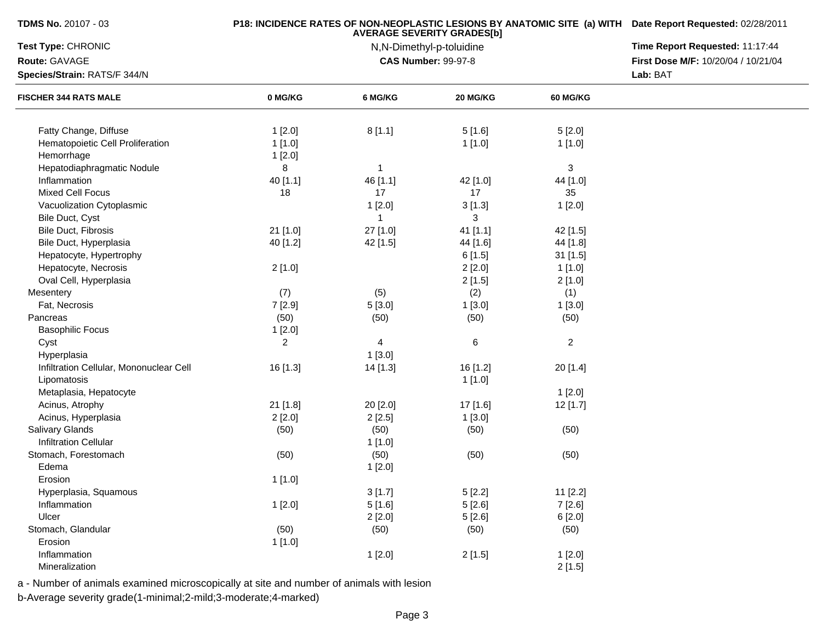| Test Type: CHRONIC<br>Route: GAVAGE<br>Species/Strain: RATS/F 344/N<br><b>FISCHER 344 RATS MALE</b><br>Fatty Change, Diffuse | 0 MG/KG<br>1[2.0]<br>1[1.0]<br>1[2.0]<br>8<br>40 [1.1] | 6 MG/KG<br>8[1.1]<br>$\mathbf{1}$ | <b>AVERAGE SEVERITY GRADES[b]</b><br>N,N-Dimethyl-p-toluidine<br><b>CAS Number: 99-97-8</b><br>20 MG/KG<br>5[1.6]<br>1[1.0] | <b>60 MG/KG</b><br>5[2.0]<br>1[1.0] | Time Report Requested: 11:17:44<br>First Dose M/F: 10/20/04 / 10/21/04<br>Lab: BAT |
|------------------------------------------------------------------------------------------------------------------------------|--------------------------------------------------------|-----------------------------------|-----------------------------------------------------------------------------------------------------------------------------|-------------------------------------|------------------------------------------------------------------------------------|
|                                                                                                                              |                                                        |                                   |                                                                                                                             |                                     |                                                                                    |
|                                                                                                                              |                                                        |                                   |                                                                                                                             |                                     |                                                                                    |
|                                                                                                                              |                                                        |                                   |                                                                                                                             |                                     |                                                                                    |
| Hematopoietic Cell Proliferation<br>Hemorrhage                                                                               |                                                        |                                   |                                                                                                                             |                                     |                                                                                    |
| Hepatodiaphragmatic Nodule                                                                                                   |                                                        |                                   |                                                                                                                             | $\mathbf{3}$                        |                                                                                    |
| Inflammation                                                                                                                 |                                                        | 46 [1.1]                          | 42 [1.0]                                                                                                                    | 44 [1.0]                            |                                                                                    |
| Mixed Cell Focus                                                                                                             | 18                                                     | 17                                | 17                                                                                                                          | 35                                  |                                                                                    |
| Vacuolization Cytoplasmic                                                                                                    |                                                        | 1[2.0]                            | 3[1.3]                                                                                                                      | 1[2.0]                              |                                                                                    |
| Bile Duct, Cyst                                                                                                              |                                                        | 1                                 | 3                                                                                                                           |                                     |                                                                                    |
| Bile Duct, Fibrosis                                                                                                          | 21 [1.0]                                               | 27 [1.0]                          | 41 [1.1]                                                                                                                    | 42 [1.5]                            |                                                                                    |
| Bile Duct, Hyperplasia                                                                                                       | 40 [1.2]                                               | 42 [1.5]                          | 44 [1.6]                                                                                                                    | 44 [1.8]                            |                                                                                    |
| Hepatocyte, Hypertrophy                                                                                                      |                                                        |                                   | 6[1.5]                                                                                                                      | 31 [1.5]                            |                                                                                    |
| Hepatocyte, Necrosis                                                                                                         | 2[1.0]                                                 |                                   | 2[2.0]                                                                                                                      | 1[1.0]                              |                                                                                    |
| Oval Cell, Hyperplasia                                                                                                       |                                                        |                                   | 2[1.5]                                                                                                                      | 2[1.0]                              |                                                                                    |
| Mesentery                                                                                                                    | (7)                                                    | (5)                               | (2)                                                                                                                         | (1)                                 |                                                                                    |
| Fat, Necrosis                                                                                                                | 7[2.9]                                                 | 5[3.0]                            | 1[3.0]                                                                                                                      | 1[3.0]                              |                                                                                    |
| Pancreas                                                                                                                     | (50)                                                   | (50)                              | (50)                                                                                                                        | (50)                                |                                                                                    |
| <b>Basophilic Focus</b>                                                                                                      | 1[2.0]                                                 |                                   |                                                                                                                             |                                     |                                                                                    |
| Cyst                                                                                                                         | 2                                                      | $\overline{4}$                    | $\,6$                                                                                                                       | $\overline{c}$                      |                                                                                    |
| Hyperplasia                                                                                                                  |                                                        | 1[3.0]                            |                                                                                                                             |                                     |                                                                                    |
| Infiltration Cellular, Mononuclear Cell                                                                                      | 16 [1.3]                                               | 14 [1.3]                          | 16 [1.2]                                                                                                                    | 20 [1.4]                            |                                                                                    |
| Lipomatosis                                                                                                                  |                                                        |                                   | 1[1.0]                                                                                                                      |                                     |                                                                                    |
| Metaplasia, Hepatocyte                                                                                                       |                                                        |                                   |                                                                                                                             | 1[2.0]                              |                                                                                    |
| Acinus, Atrophy                                                                                                              | 21 [1.8]                                               | 20 [2.0]                          | 17 [1.6]                                                                                                                    | 12 [1.7]                            |                                                                                    |
| Acinus, Hyperplasia                                                                                                          | 2[2.0]                                                 | 2[2.5]                            | 1[3.0]                                                                                                                      |                                     |                                                                                    |
| <b>Salivary Glands</b>                                                                                                       | (50)                                                   | (50)                              | (50)                                                                                                                        | (50)                                |                                                                                    |
| <b>Infiltration Cellular</b>                                                                                                 |                                                        | 1[1.0]                            |                                                                                                                             |                                     |                                                                                    |
| Stomach, Forestomach                                                                                                         | (50)                                                   | (50)                              | (50)                                                                                                                        | (50)                                |                                                                                    |
| Edema                                                                                                                        |                                                        | 1[2.0]                            |                                                                                                                             |                                     |                                                                                    |
| Erosion                                                                                                                      | 1[1.0]                                                 |                                   |                                                                                                                             |                                     |                                                                                    |
| Hyperplasia, Squamous                                                                                                        |                                                        | 3[1.7]                            | 5[2.2]                                                                                                                      | 11 [2.2]                            |                                                                                    |
| Inflammation                                                                                                                 | 1[2.0]                                                 | 5[1.6]                            | 5[2.6]                                                                                                                      | 7[2.6]                              |                                                                                    |
| Ulcer                                                                                                                        |                                                        | 2[2.0]                            | 5[2.6]                                                                                                                      | 6[2.0]                              |                                                                                    |
| Stomach, Glandular                                                                                                           | (50)                                                   | (50)                              | (50)                                                                                                                        | (50)                                |                                                                                    |
| Erosion                                                                                                                      | 1[1.0]                                                 |                                   |                                                                                                                             |                                     |                                                                                    |
| Inflammation                                                                                                                 |                                                        | 1[2.0]                            | 2[1.5]                                                                                                                      | 1[2.0]                              |                                                                                    |
| Mineralization                                                                                                               |                                                        |                                   |                                                                                                                             | 2[1.5]                              |                                                                                    |

a - Number of animals examined microscopically at site and number of animals with lesion

b-Average severity grade(1-minimal;2-mild;3-moderate;4-marked)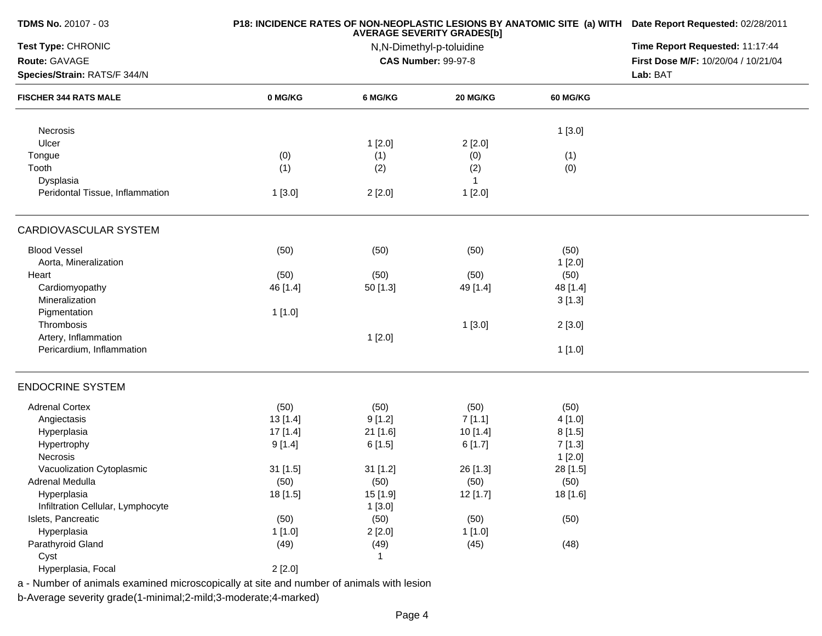| TDMS No. 20107 - 03               |          | P18: INCIDENCE RATES OF NON-NEOPLASTIC LESIONS BY ANATOMIC SITE (a) WITH Date Report Requested: 02/28/2011 |                                                               |                 |                                     |
|-----------------------------------|----------|------------------------------------------------------------------------------------------------------------|---------------------------------------------------------------|-----------------|-------------------------------------|
| Test Type: CHRONIC                |          |                                                                                                            | <b>AVERAGE SEVERITY GRADES[b]</b><br>N,N-Dimethyl-p-toluidine |                 | Time Report Requested: 11:17:44     |
| Route: GAVAGE                     |          |                                                                                                            | <b>CAS Number: 99-97-8</b>                                    |                 | First Dose M/F: 10/20/04 / 10/21/04 |
| Species/Strain: RATS/F 344/N      |          |                                                                                                            |                                                               |                 | Lab: BAT                            |
| <b>FISCHER 344 RATS MALE</b>      | 0 MG/KG  | 6 MG/KG                                                                                                    | 20 MG/KG                                                      | <b>60 MG/KG</b> |                                     |
| Necrosis                          |          |                                                                                                            |                                                               | 1[3.0]          |                                     |
| Ulcer                             |          | 1[2.0]                                                                                                     | 2[2.0]                                                        |                 |                                     |
| Tongue                            | (0)      | (1)                                                                                                        | (0)                                                           | (1)             |                                     |
| Tooth                             | (1)      | (2)                                                                                                        | (2)                                                           | (0)             |                                     |
| Dysplasia                         |          |                                                                                                            | $\overline{1}$                                                |                 |                                     |
| Peridontal Tissue, Inflammation   | 1[3.0]   | 2[2.0]                                                                                                     | 1[2.0]                                                        |                 |                                     |
| CARDIOVASCULAR SYSTEM             |          |                                                                                                            |                                                               |                 |                                     |
| <b>Blood Vessel</b>               | (50)     | (50)                                                                                                       | (50)                                                          | (50)            |                                     |
| Aorta, Mineralization             |          |                                                                                                            |                                                               | 1[2.0]          |                                     |
| Heart                             | (50)     | (50)                                                                                                       | (50)                                                          | (50)            |                                     |
| Cardiomyopathy                    | 46 [1.4] | $50$ [1.3]                                                                                                 | 49 [1.4]                                                      | 48 [1.4]        |                                     |
| Mineralization                    |          |                                                                                                            |                                                               | 3[1.3]          |                                     |
| Pigmentation                      | 1[1.0]   |                                                                                                            |                                                               |                 |                                     |
| Thrombosis                        |          |                                                                                                            | 1[3.0]                                                        | 2[3.0]          |                                     |
| Artery, Inflammation              |          | 1[2.0]                                                                                                     |                                                               |                 |                                     |
| Pericardium, Inflammation         |          |                                                                                                            |                                                               | 1[1.0]          |                                     |
| <b>ENDOCRINE SYSTEM</b>           |          |                                                                                                            |                                                               |                 |                                     |
| <b>Adrenal Cortex</b>             | (50)     | (50)                                                                                                       | (50)                                                          | (50)            |                                     |
| Angiectasis                       | 13 [1.4] | 9[1.2]                                                                                                     | 7[1.1]                                                        | 4 [1.0]         |                                     |
| Hyperplasia                       | 17 [1.4] | 21 [1.6]                                                                                                   | 10 [1.4]                                                      | 8[1.5]          |                                     |
| Hypertrophy                       | 9[1.4]   | 6[1.5]                                                                                                     | 6[1.7]                                                        | 7[1.3]          |                                     |
| Necrosis                          |          |                                                                                                            |                                                               | 1[2.0]          |                                     |
| Vacuolization Cytoplasmic         | 31 [1.5] | 31 [1.2]                                                                                                   | 26 [1.3]                                                      | 28 [1.5]        |                                     |
| Adrenal Medulla                   | (50)     | (50)                                                                                                       | (50)                                                          | (50)            |                                     |
| Hyperplasia                       | 18 [1.5] | 15 [1.9]                                                                                                   | 12 [1.7]                                                      | 18 [1.6]        |                                     |
| Infiltration Cellular, Lymphocyte |          | 1[3.0]                                                                                                     |                                                               |                 |                                     |
| Islets, Pancreatic                | (50)     | (50)                                                                                                       | (50)                                                          | (50)            |                                     |
| Hyperplasia                       | 1[1.0]   | 2[2.0]                                                                                                     | 1[1.0]                                                        |                 |                                     |
| Parathyroid Gland                 | (49)     | (49)                                                                                                       | (45)                                                          | (48)            |                                     |
| Cyst                              |          |                                                                                                            |                                                               |                 |                                     |
| Hyperplasia, Focal                | 2[2.0]   |                                                                                                            |                                                               |                 |                                     |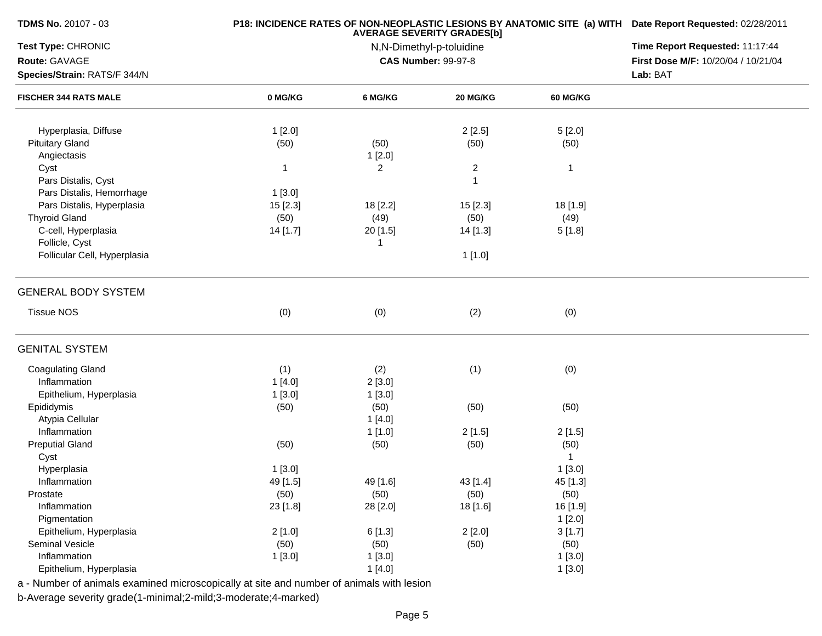| <b>TDMS No. 20107 - 03</b>   |                | P18: INCIDENCE RATES OF NON-NEOPLASTIC LESIONS BY ANATOMIC SITE (a) WITH Date Report Requested: 02/28/2011<br>Time Report Requested: 11:17:44 |                            |                 |                                     |
|------------------------------|----------------|-----------------------------------------------------------------------------------------------------------------------------------------------|----------------------------|-----------------|-------------------------------------|
| Test Type: CHRONIC           |                |                                                                                                                                               |                            |                 |                                     |
| Route: GAVAGE                |                |                                                                                                                                               | <b>CAS Number: 99-97-8</b> |                 | First Dose M/F: 10/20/04 / 10/21/04 |
| Species/Strain: RATS/F 344/N |                |                                                                                                                                               |                            |                 | Lab: BAT                            |
| <b>FISCHER 344 RATS MALE</b> | 0 MG/KG        | 6 MG/KG                                                                                                                                       | 20 MG/KG                   | <b>60 MG/KG</b> |                                     |
| Hyperplasia, Diffuse         | 1[2.0]         |                                                                                                                                               | 2[2.5]                     | 5[2.0]          |                                     |
| <b>Pituitary Gland</b>       | (50)           | (50)                                                                                                                                          | (50)                       | (50)            |                                     |
| Angiectasis                  |                | 1[2.0]                                                                                                                                        |                            |                 |                                     |
| Cyst                         | $\mathbf{1}$   | $\overline{2}$                                                                                                                                | $\overline{c}$             | $\mathbf{1}$    |                                     |
| Pars Distalis, Cyst          |                |                                                                                                                                               | 1                          |                 |                                     |
| Pars Distalis, Hemorrhage    | 1[3.0]         |                                                                                                                                               |                            |                 |                                     |
| Pars Distalis, Hyperplasia   | 15 [2.3]       | 18 [2.2]                                                                                                                                      | 15 [2.3]                   | 18 [1.9]        |                                     |
| <b>Thyroid Gland</b>         | (50)           | (49)                                                                                                                                          | (50)                       | (49)            |                                     |
| C-cell, Hyperplasia          | 14 [1.7]       | 20 [1.5]                                                                                                                                      | 14 [1.3]                   | 5[1.8]          |                                     |
| Follicle, Cyst               |                | -1                                                                                                                                            |                            |                 |                                     |
| Follicular Cell, Hyperplasia |                |                                                                                                                                               | 1[1.0]                     |                 |                                     |
|                              |                |                                                                                                                                               |                            |                 |                                     |
| <b>GENERAL BODY SYSTEM</b>   |                |                                                                                                                                               |                            |                 |                                     |
| <b>Tissue NOS</b>            | (0)            | (0)                                                                                                                                           | (2)                        | (0)             |                                     |
| <b>GENITAL SYSTEM</b>        |                |                                                                                                                                               |                            |                 |                                     |
| <b>Coagulating Gland</b>     | (1)            | (2)                                                                                                                                           | (1)                        | (0)             |                                     |
| Inflammation                 | 1[4.0]         | 2[3.0]                                                                                                                                        |                            |                 |                                     |
| Epithelium, Hyperplasia      | 1[3.0]         | 1[3.0]                                                                                                                                        |                            |                 |                                     |
| Epididymis                   | (50)           | (50)                                                                                                                                          | (50)                       | (50)            |                                     |
| Atypia Cellular              |                | 1[4.0]                                                                                                                                        |                            |                 |                                     |
| Inflammation                 |                | 1[1.0]                                                                                                                                        | 2[1.5]                     | 2[1.5]          |                                     |
| <b>Preputial Gland</b>       | (50)           | (50)                                                                                                                                          | (50)                       | (50)            |                                     |
| Cyst                         |                |                                                                                                                                               |                            | $\mathbf{1}$    |                                     |
| Hyperplasia                  | 1[3.0]         |                                                                                                                                               |                            | 1[3.0]          |                                     |
| Inflammation                 | 49 [1.5]       | 49 [1.6]                                                                                                                                      | 43 [1.4]                   | 45 [1.3]        |                                     |
| Prostate                     | (50)           | (50)                                                                                                                                          | (50)                       | (50)            |                                     |
| Inflammation                 | 23 [1.8]       | 28 [2.0]                                                                                                                                      | 18 [1.6]                   | 16 [1.9]        |                                     |
| Pigmentation                 |                |                                                                                                                                               |                            | 1[2.0]          |                                     |
| Epithelium, Hyperplasia      | 2[1.0]         | 6[1.3]                                                                                                                                        | 2[2.0]                     | 3[1.7]          |                                     |
|                              |                |                                                                                                                                               |                            |                 |                                     |
| Seminal Vesicle              |                |                                                                                                                                               |                            |                 |                                     |
| Inflammation                 | (50)<br>1[3.0] | (50)<br>1[3.0]                                                                                                                                | (50)                       | (50)<br>1[3.0]  |                                     |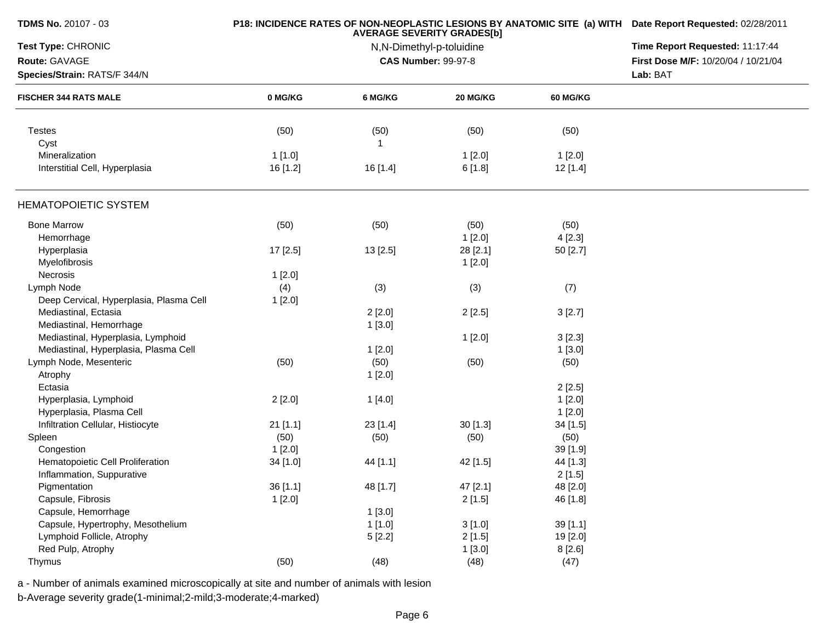| <b>TDMS No. 20107 - 03</b>              |            | P18: INCIDENCE RATES OF NON-NEOPLASTIC LESIONS BY ANATOMIC SITE (a) WITH Date Report Requested: 02/28/2011 |                            |                 |                                     |
|-----------------------------------------|------------|------------------------------------------------------------------------------------------------------------|----------------------------|-----------------|-------------------------------------|
| Test Type: CHRONIC                      |            | Time Report Requested: 11:17:44                                                                            |                            |                 |                                     |
| Route: GAVAGE                           |            |                                                                                                            | <b>CAS Number: 99-97-8</b> |                 | First Dose M/F: 10/20/04 / 10/21/04 |
| Species/Strain: RATS/F 344/N            |            |                                                                                                            |                            |                 | Lab: BAT                            |
| <b>FISCHER 344 RATS MALE</b>            | 0 MG/KG    | 6 MG/KG                                                                                                    | 20 MG/KG                   | <b>60 MG/KG</b> |                                     |
| <b>Testes</b>                           | (50)       | (50)                                                                                                       | (50)                       | (50)            |                                     |
| Cyst                                    |            | -1                                                                                                         |                            |                 |                                     |
| Mineralization                          | 1[1.0]     |                                                                                                            | 1[2.0]                     | 1[2.0]          |                                     |
| Interstitial Cell, Hyperplasia          | 16 [1.2]   | 16 [1.4]                                                                                                   | 6[1.8]                     | 12 [1.4]        |                                     |
| <b>HEMATOPOIETIC SYSTEM</b>             |            |                                                                                                            |                            |                 |                                     |
| <b>Bone Marrow</b>                      | (50)       | (50)                                                                                                       | (50)                       | (50)            |                                     |
| Hemorrhage                              |            |                                                                                                            | 1[2.0]                     | 4[2.3]          |                                     |
| Hyperplasia                             | 17 [2.5]   | 13 [2.5]                                                                                                   | 28 [2.1]                   | 50 [2.7]        |                                     |
| Myelofibrosis                           |            |                                                                                                            | 1[2.0]                     |                 |                                     |
| Necrosis                                | 1[2.0]     |                                                                                                            |                            |                 |                                     |
| Lymph Node                              | (4)        | (3)                                                                                                        | (3)                        | (7)             |                                     |
| Deep Cervical, Hyperplasia, Plasma Cell | 1[2.0]     |                                                                                                            |                            |                 |                                     |
| Mediastinal, Ectasia                    |            | 2[2.0]                                                                                                     | 2[2.5]                     | 3[2.7]          |                                     |
| Mediastinal, Hemorrhage                 |            | 1[3.0]                                                                                                     |                            |                 |                                     |
| Mediastinal, Hyperplasia, Lymphoid      |            |                                                                                                            | 1[2.0]                     | 3[2.3]          |                                     |
| Mediastinal, Hyperplasia, Plasma Cell   |            | 1[2.0]                                                                                                     |                            | 1[3.0]          |                                     |
| Lymph Node, Mesenteric                  | (50)       | (50)                                                                                                       | (50)                       | (50)            |                                     |
| Atrophy                                 |            | 1[2.0]                                                                                                     |                            |                 |                                     |
| Ectasia                                 |            |                                                                                                            |                            | 2[2.5]          |                                     |
| Hyperplasia, Lymphoid                   | 2[2.0]     | 1[4.0]                                                                                                     |                            | 1[2.0]          |                                     |
| Hyperplasia, Plasma Cell                |            |                                                                                                            |                            | 1[2.0]          |                                     |
| Infiltration Cellular, Histiocyte       | $21$ [1.1] | $23$ [1.4]                                                                                                 | 30[1.3]                    | 34 [1.5]        |                                     |
| Spleen                                  | (50)       | (50)                                                                                                       | (50)                       | (50)            |                                     |
| Congestion                              | 1[2.0]     |                                                                                                            |                            | 39 [1.9]        |                                     |
| Hematopoietic Cell Proliferation        | 34 [1.0]   | 44 [1.1]                                                                                                   | 42 [1.5]                   | 44 [1.3]        |                                     |
| Inflammation, Suppurative               |            |                                                                                                            |                            | 2[1.5]          |                                     |
| Pigmentation                            | 36 [1.1]   | 48 [1.7]                                                                                                   | 47 [2.1]                   | 48 [2.0]        |                                     |
| Capsule, Fibrosis                       | 1[2.0]     |                                                                                                            | 2[1.5]                     | 46 [1.8]        |                                     |
| Capsule, Hemorrhage                     |            | 1[3.0]                                                                                                     |                            |                 |                                     |
| Capsule, Hypertrophy, Mesothelium       |            | 1[1.0]                                                                                                     | 3[1.0]                     | 39[1.1]         |                                     |
| Lymphoid Follicle, Atrophy              |            |                                                                                                            | 2[1.5]                     | 19 [2.0]        |                                     |
| Red Pulp, Atrophy                       |            | 5[2.2]                                                                                                     |                            |                 |                                     |
|                                         |            |                                                                                                            | 1[3.0]                     | 8[2.6]          |                                     |
| Thymus                                  | (50)       | (48)                                                                                                       | (48)                       | (47)            |                                     |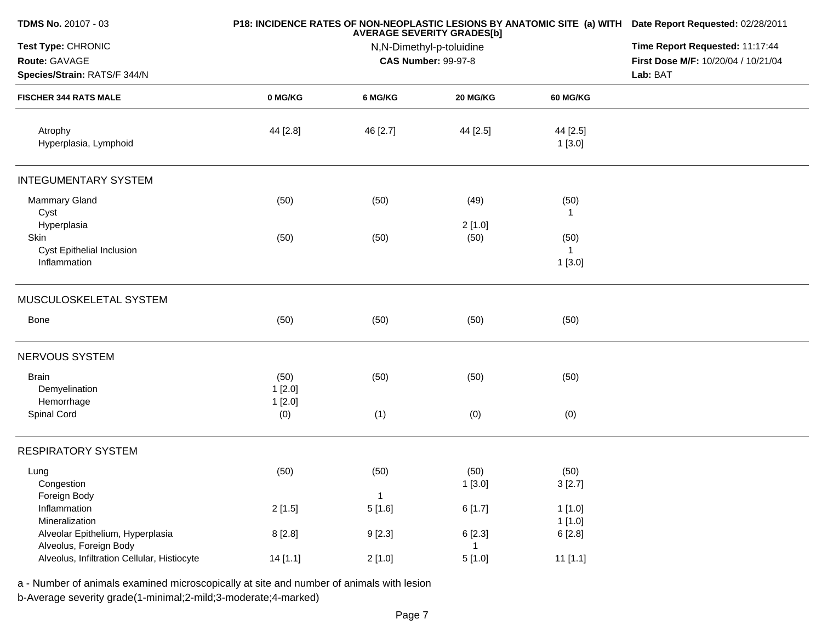| TDMS No. 20107 - 03                         |          | P18: INCIDENCE RATES OF NON-NEOPLASTIC LESIONS BY ANATOMIC SITE (a) WITH Date Report Requested: 02/28/2011<br>Time Report Requested: 11:17:44 |                            |                    |                                     |
|---------------------------------------------|----------|-----------------------------------------------------------------------------------------------------------------------------------------------|----------------------------|--------------------|-------------------------------------|
| Test Type: CHRONIC                          |          |                                                                                                                                               |                            |                    |                                     |
| Route: GAVAGE                               |          |                                                                                                                                               | <b>CAS Number: 99-97-8</b> |                    | First Dose M/F: 10/20/04 / 10/21/04 |
| Species/Strain: RATS/F 344/N                |          |                                                                                                                                               |                            |                    | Lab: BAT                            |
| <b>FISCHER 344 RATS MALE</b>                | 0 MG/KG  | 6 MG/KG                                                                                                                                       | <b>20 MG/KG</b>            | 60 MG/KG           |                                     |
| Atrophy<br>Hyperplasia, Lymphoid            | 44 [2.8] | 46 [2.7]                                                                                                                                      | 44 [2.5]                   | 44 [2.5]<br>1[3.0] |                                     |
| <b>INTEGUMENTARY SYSTEM</b>                 |          |                                                                                                                                               |                            |                    |                                     |
| <b>Mammary Gland</b>                        | (50)     | (50)                                                                                                                                          | (49)                       | (50)               |                                     |
| Cyst                                        |          |                                                                                                                                               |                            | $\overline{1}$     |                                     |
| Hyperplasia                                 |          |                                                                                                                                               | 2[1.0]                     |                    |                                     |
| Skin                                        | (50)     | (50)                                                                                                                                          | (50)                       | (50)               |                                     |
| Cyst Epithelial Inclusion                   |          |                                                                                                                                               |                            | -1                 |                                     |
| Inflammation                                |          |                                                                                                                                               |                            | 1[3.0]             |                                     |
| MUSCULOSKELETAL SYSTEM                      |          |                                                                                                                                               |                            |                    |                                     |
| Bone                                        | (50)     | (50)                                                                                                                                          | (50)                       | (50)               |                                     |
| NERVOUS SYSTEM                              |          |                                                                                                                                               |                            |                    |                                     |
| <b>Brain</b>                                | (50)     | (50)                                                                                                                                          | (50)                       | (50)               |                                     |
| Demyelination                               | 1[2.0]   |                                                                                                                                               |                            |                    |                                     |
| Hemorrhage                                  | 1[2.0]   |                                                                                                                                               |                            |                    |                                     |
| Spinal Cord                                 | (0)      | (1)                                                                                                                                           | (0)                        | (0)                |                                     |
| <b>RESPIRATORY SYSTEM</b>                   |          |                                                                                                                                               |                            |                    |                                     |
| Lung                                        | (50)     | (50)                                                                                                                                          | (50)                       | (50)               |                                     |
| Congestion                                  |          |                                                                                                                                               | 1[3.0]                     | 3[2.7]             |                                     |
| Foreign Body                                |          | $\mathbf{1}$                                                                                                                                  |                            |                    |                                     |
| Inflammation                                | 2[1.5]   | 5[1.6]                                                                                                                                        | 6[1.7]                     | 1[1.0]             |                                     |
| Mineralization                              |          |                                                                                                                                               |                            | 1[1.0]             |                                     |
| Alveolar Epithelium, Hyperplasia            | 8[2.8]   | 9[2.3]                                                                                                                                        | 6[2.3]                     | 6[2.8]             |                                     |
| Alveolus, Foreign Body                      |          |                                                                                                                                               | 1                          |                    |                                     |
| Alveolus, Infiltration Cellular, Histiocyte | 14[1.1]  | 2[1.0]                                                                                                                                        | 5[1.0]                     | 11[1.1]            |                                     |
|                                             |          |                                                                                                                                               |                            |                    |                                     |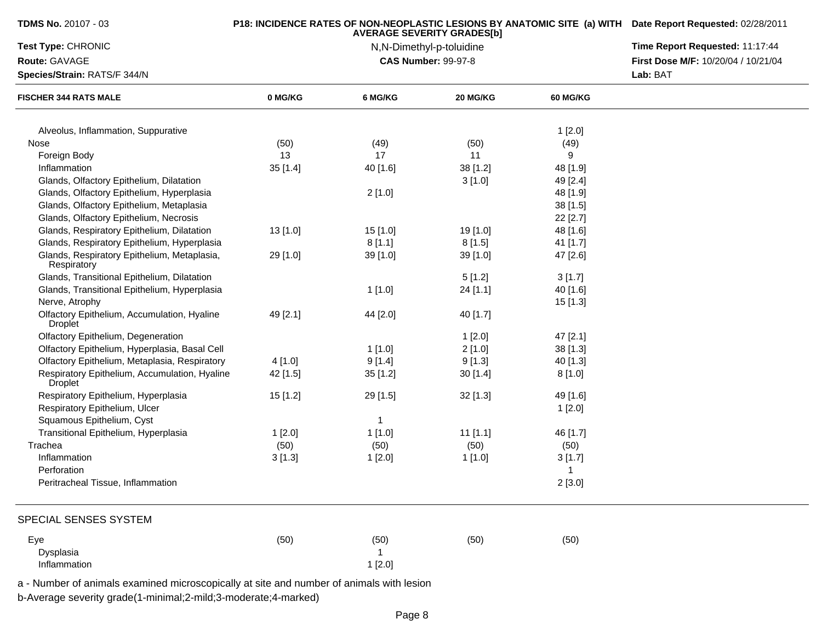| <b>TDMS No. 20107 - 03</b>                                      |          | P18: INCIDENCE RATES OF NON-NEOPLASTIC LESIONS BY ANATOMIC SITE (a) WITH Date Report Requested: 02/28/2011 |                            |                 |                                     |
|-----------------------------------------------------------------|----------|------------------------------------------------------------------------------------------------------------|----------------------------|-----------------|-------------------------------------|
| Test Type: CHRONIC                                              |          | Time Report Requested: 11:17:44                                                                            |                            |                 |                                     |
| Route: GAVAGE                                                   |          |                                                                                                            | <b>CAS Number: 99-97-8</b> |                 | First Dose M/F: 10/20/04 / 10/21/04 |
| Species/Strain: RATS/F 344/N                                    |          |                                                                                                            |                            | Lab: BAT        |                                     |
| <b>FISCHER 344 RATS MALE</b>                                    | 0 MG/KG  | 6 MG/KG                                                                                                    | 20 MG/KG                   | <b>60 MG/KG</b> |                                     |
| Alveolus, Inflammation, Suppurative                             |          |                                                                                                            |                            | 1[2.0]          |                                     |
| Nose                                                            | (50)     | (49)                                                                                                       | (50)                       | (49)            |                                     |
| Foreign Body                                                    | 13       | 17                                                                                                         | 11                         | 9               |                                     |
| Inflammation                                                    | 35 [1.4] | 40 [1.6]                                                                                                   | 38 [1.2]                   | 48 [1.9]        |                                     |
| Glands, Olfactory Epithelium, Dilatation                        |          |                                                                                                            | 3[1.0]                     | 49 [2.4]        |                                     |
| Glands, Olfactory Epithelium, Hyperplasia                       |          | 2[1.0]                                                                                                     |                            | 48 [1.9]        |                                     |
| Glands, Olfactory Epithelium, Metaplasia                        |          |                                                                                                            |                            | 38 [1.5]        |                                     |
| Glands, Olfactory Epithelium, Necrosis                          |          |                                                                                                            |                            | 22 [2.7]        |                                     |
| Glands, Respiratory Epithelium, Dilatation                      | 13 [1.0] | 15[1.0]                                                                                                    | 19 [1.0]                   | 48 [1.6]        |                                     |
| Glands, Respiratory Epithelium, Hyperplasia                     |          | 8[1.1]                                                                                                     | 8[1.5]                     | 41 [1.7]        |                                     |
| Glands, Respiratory Epithelium, Metaplasia,<br>Respiratory      | 29 [1.0] | 39 [1.0]                                                                                                   | 39 [1.0]                   | 47 [2.6]        |                                     |
| Glands, Transitional Epithelium, Dilatation                     |          |                                                                                                            | 5[1.2]                     | 3[1.7]          |                                     |
| Glands, Transitional Epithelium, Hyperplasia                    |          | 1[1.0]                                                                                                     | 24 [1.1]                   | 40 [1.6]        |                                     |
| Nerve, Atrophy                                                  |          |                                                                                                            |                            | $15$ [1.3]      |                                     |
| Olfactory Epithelium, Accumulation, Hyaline<br><b>Droplet</b>   | 49 [2.1] | 44 [2.0]                                                                                                   | 40 [1.7]                   |                 |                                     |
| Olfactory Epithelium, Degeneration                              |          |                                                                                                            | 1[2.0]                     | 47 [2.1]        |                                     |
| Olfactory Epithelium, Hyperplasia, Basal Cell                   |          | 1[1.0]                                                                                                     | 2[1.0]                     | 38 [1.3]        |                                     |
| Olfactory Epithelium, Metaplasia, Respiratory                   | 4[1.0]   | 9[1.4]                                                                                                     | 9[1.3]                     | 40 [1.3]        |                                     |
| Respiratory Epithelium, Accumulation, Hyaline<br><b>Droplet</b> | 42 [1.5] | 35 [1.2]                                                                                                   | 30[1.4]                    | 8[1.0]          |                                     |
| Respiratory Epithelium, Hyperplasia                             | 15 [1.2] | 29 [1.5]                                                                                                   | $32$ [1.3]                 | 49 [1.6]        |                                     |
| Respiratory Epithelium, Ulcer                                   |          |                                                                                                            |                            | 1[2.0]          |                                     |
| Squamous Epithelium, Cyst                                       |          | $\mathbf{1}$                                                                                               |                            |                 |                                     |
| Transitional Epithelium, Hyperplasia                            | 1[2.0]   | 1[1.0]                                                                                                     | $11$ [1.1]                 | 46 [1.7]        |                                     |
| Trachea                                                         | (50)     | (50)                                                                                                       | (50)                       | (50)            |                                     |
| Inflammation                                                    | 3[1.3]   | 1[2.0]                                                                                                     | 1[1.0]                     | 3[1.7]          |                                     |
| Perforation                                                     |          |                                                                                                            |                            | $\mathbf{1}$    |                                     |
| Peritracheal Tissue, Inflammation                               |          |                                                                                                            |                            | 2[3.0]          |                                     |
| SPECIAL SENSES SYSTEM                                           |          |                                                                                                            |                            |                 |                                     |
| Eye                                                             | (50)     | (50)                                                                                                       | (50)                       | (50)            |                                     |
| Dysplasia                                                       |          |                                                                                                            |                            |                 |                                     |
| Inflammation                                                    |          | 1[2.0]                                                                                                     |                            |                 |                                     |

b-Average severity grade(1-minimal;2-mild;3-moderate;4-marked)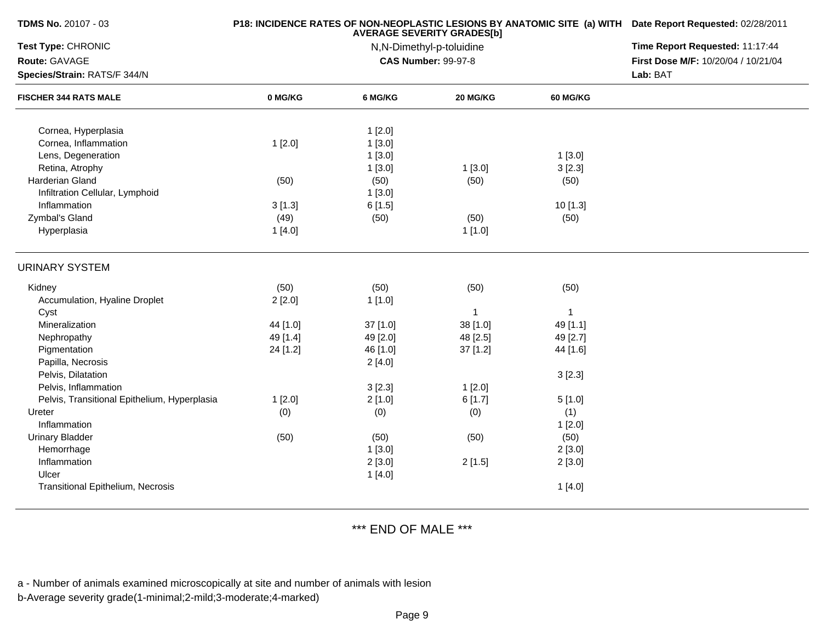| <b>TDMS No. 20107 - 03</b>                   |          | P18: INCIDENCE RATES OF NON-NEOPLASTIC LESIONS BY ANATOMIC SITE (a) WITH Date Report Requested: 02/28/2011<br>Time Report Requested: 11:17:44 |                                                        |                 |                                     |
|----------------------------------------------|----------|-----------------------------------------------------------------------------------------------------------------------------------------------|--------------------------------------------------------|-----------------|-------------------------------------|
| Test Type: CHRONIC                           |          |                                                                                                                                               |                                                        |                 |                                     |
| Route: GAVAGE                                |          |                                                                                                                                               | N,N-Dimethyl-p-toluidine<br><b>CAS Number: 99-97-8</b> |                 | First Dose M/F: 10/20/04 / 10/21/04 |
| Species/Strain: RATS/F 344/N                 |          |                                                                                                                                               |                                                        |                 | Lab: BAT                            |
| <b>FISCHER 344 RATS MALE</b>                 | 0 MG/KG  | 6 MG/KG                                                                                                                                       | 20 MG/KG                                               | <b>60 MG/KG</b> |                                     |
| Cornea, Hyperplasia                          |          | 1[2.0]                                                                                                                                        |                                                        |                 |                                     |
| Cornea, Inflammation                         | 1[2.0]   | 1[3.0]                                                                                                                                        |                                                        |                 |                                     |
| Lens, Degeneration                           |          | 1[3.0]                                                                                                                                        |                                                        | 1[3.0]          |                                     |
| Retina, Atrophy                              |          | 1[3.0]                                                                                                                                        | 1[3.0]                                                 | 3[2.3]          |                                     |
| Harderian Gland                              | (50)     | (50)                                                                                                                                          | (50)                                                   | (50)            |                                     |
| Infiltration Cellular, Lymphoid              |          | 1[3.0]                                                                                                                                        |                                                        |                 |                                     |
| Inflammation                                 | 3[1.3]   | 6[1.5]                                                                                                                                        |                                                        | 10 [1.3]        |                                     |
| Zymbal's Gland                               | (49)     | (50)                                                                                                                                          | (50)                                                   | (50)            |                                     |
| Hyperplasia                                  | 1[4.0]   |                                                                                                                                               | 1[1.0]                                                 |                 |                                     |
| <b>URINARY SYSTEM</b>                        |          |                                                                                                                                               |                                                        |                 |                                     |
| Kidney                                       | (50)     | (50)                                                                                                                                          | (50)                                                   | (50)            |                                     |
| Accumulation, Hyaline Droplet                | 2[2.0]   | 1[1.0]                                                                                                                                        |                                                        |                 |                                     |
| Cyst                                         |          |                                                                                                                                               | 1                                                      | $\mathbf{1}$    |                                     |
| Mineralization                               | 44 [1.0] | 37 [1.0]                                                                                                                                      | 38 [1.0]                                               | 49 [1.1]        |                                     |
| Nephropathy                                  | 49 [1.4] | 49 [2.0]                                                                                                                                      | 48 [2.5]                                               | 49 [2.7]        |                                     |
| Pigmentation                                 | 24 [1.2] | 46 [1.0]                                                                                                                                      | $37$ [1.2]                                             | 44 [1.6]        |                                     |
| Papilla, Necrosis                            |          | 2[4.0]                                                                                                                                        |                                                        |                 |                                     |
| Pelvis, Dilatation                           |          |                                                                                                                                               |                                                        | 3[2.3]          |                                     |
| Pelvis, Inflammation                         |          | 3[2.3]                                                                                                                                        | 1[2.0]                                                 |                 |                                     |
| Pelvis, Transitional Epithelium, Hyperplasia | 1[2.0]   | 2[1.0]                                                                                                                                        | 6[1.7]                                                 | 5[1.0]          |                                     |
| Ureter                                       | (0)      | (0)                                                                                                                                           | (0)                                                    | (1)             |                                     |
| Inflammation                                 |          |                                                                                                                                               |                                                        | 1[2.0]          |                                     |
| <b>Urinary Bladder</b>                       | (50)     | (50)                                                                                                                                          | (50)                                                   | (50)            |                                     |
| Hemorrhage                                   |          | 1[3.0]                                                                                                                                        |                                                        | 2[3.0]          |                                     |
| Inflammation                                 |          | 2[3.0]                                                                                                                                        | 2[1.5]                                                 | 2[3.0]          |                                     |
| Ulcer                                        |          | 1[4.0]                                                                                                                                        |                                                        |                 |                                     |
| Transitional Epithelium, Necrosis            |          |                                                                                                                                               |                                                        | 1[4.0]          |                                     |

\*\*\* END OF MALE \*\*\*

a - Number of animals examined microscopically at site and number of animals with lesion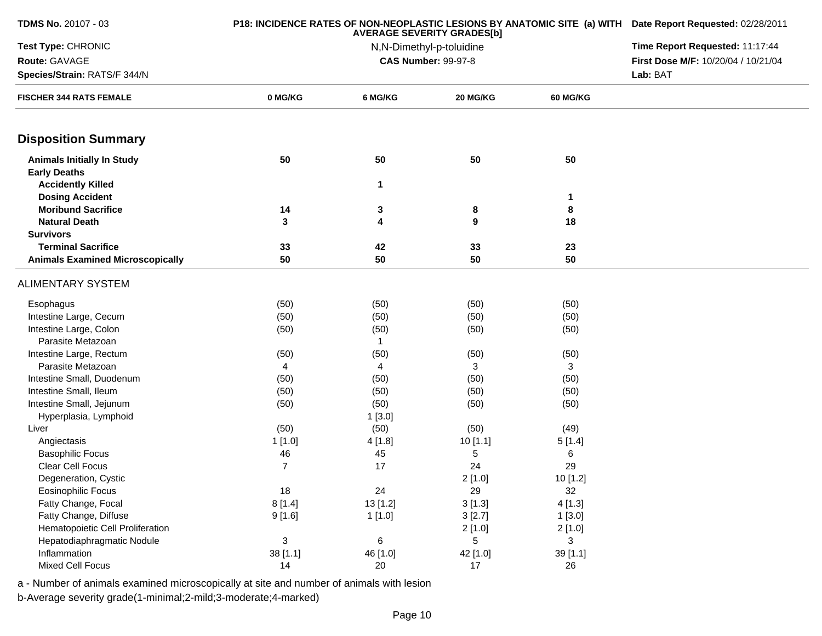| <b>TDMS No. 20107 - 03</b>              |                | P18: INCIDENCE RATES OF NON-NEOPLASTIC LESIONS BY ANATOMIC SITE (a) WITH Date Report Requested: 02/28/2011 |                                                               |                 |                                     |
|-----------------------------------------|----------------|------------------------------------------------------------------------------------------------------------|---------------------------------------------------------------|-----------------|-------------------------------------|
| Test Type: CHRONIC                      |                |                                                                                                            | <b>AVERAGE SEVERITY GRADES[b]</b><br>N,N-Dimethyl-p-toluidine |                 | Time Report Requested: 11:17:44     |
| Route: GAVAGE                           |                |                                                                                                            | <b>CAS Number: 99-97-8</b>                                    |                 | First Dose M/F: 10/20/04 / 10/21/04 |
| Species/Strain: RATS/F 344/N            |                |                                                                                                            |                                                               |                 | Lab: BAT                            |
| <b>FISCHER 344 RATS FEMALE</b>          | 0 MG/KG        | 6 MG/KG                                                                                                    | 20 MG/KG                                                      | <b>60 MG/KG</b> |                                     |
| <b>Disposition Summary</b>              |                |                                                                                                            |                                                               |                 |                                     |
| <b>Animals Initially In Study</b>       | 50             | 50                                                                                                         | 50                                                            | 50              |                                     |
| <b>Early Deaths</b>                     |                |                                                                                                            |                                                               |                 |                                     |
| <b>Accidently Killed</b>                |                | 1                                                                                                          |                                                               |                 |                                     |
| <b>Dosing Accident</b>                  |                |                                                                                                            |                                                               | $\mathbf{1}$    |                                     |
| <b>Moribund Sacrifice</b>               | 14             | 3                                                                                                          | 8                                                             | 8               |                                     |
| <b>Natural Death</b>                    | 3              | 4                                                                                                          | 9                                                             | 18              |                                     |
| <b>Survivors</b>                        |                |                                                                                                            |                                                               |                 |                                     |
| <b>Terminal Sacrifice</b>               | 33             | 42                                                                                                         | 33                                                            | 23              |                                     |
| <b>Animals Examined Microscopically</b> | 50             | 50                                                                                                         | 50                                                            | 50              |                                     |
| <b>ALIMENTARY SYSTEM</b>                |                |                                                                                                            |                                                               |                 |                                     |
| Esophagus                               | (50)           | (50)                                                                                                       | (50)                                                          | (50)            |                                     |
| Intestine Large, Cecum                  | (50)           | (50)                                                                                                       | (50)                                                          | (50)            |                                     |
| Intestine Large, Colon                  | (50)           | (50)                                                                                                       | (50)                                                          | (50)            |                                     |
| Parasite Metazoan                       |                | 1                                                                                                          |                                                               |                 |                                     |
| Intestine Large, Rectum                 | (50)           | (50)                                                                                                       | (50)                                                          | (50)            |                                     |
| Parasite Metazoan                       | 4              | 4                                                                                                          | 3                                                             | 3               |                                     |
| Intestine Small, Duodenum               | (50)           | (50)                                                                                                       | (50)                                                          | (50)            |                                     |
| Intestine Small, Ileum                  | (50)           | (50)                                                                                                       | (50)                                                          | (50)            |                                     |
| Intestine Small, Jejunum                | (50)           | (50)                                                                                                       | (50)                                                          | (50)            |                                     |
| Hyperplasia, Lymphoid                   |                | 1[3.0]                                                                                                     |                                                               |                 |                                     |
| Liver                                   | (50)           | (50)                                                                                                       | (50)                                                          | (49)            |                                     |
| Angiectasis                             | 1[1.0]         | 4 [1.8]                                                                                                    | 10[1.1]                                                       | 5[1.4]          |                                     |
| <b>Basophilic Focus</b>                 | 46             | 45                                                                                                         | 5                                                             | 6               |                                     |
| Clear Cell Focus                        | $\overline{7}$ | 17                                                                                                         | 24                                                            | 29              |                                     |
| Degeneration, Cystic                    |                |                                                                                                            | 2[1.0]                                                        | 10 [1.2]        |                                     |
| Eosinophilic Focus                      | 18             | 24                                                                                                         | 29                                                            | 32              |                                     |
| Fatty Change, Focal                     | 8[1.4]         | 13 [1.2]                                                                                                   | 3[1.3]                                                        | 4[1.3]          |                                     |
| Fatty Change, Diffuse                   | 9[1.6]         | 1[1.0]                                                                                                     | 3[2.7]                                                        | 1[3.0]          |                                     |
| Hematopoietic Cell Proliferation        |                |                                                                                                            | 2[1.0]                                                        | 2[1.0]          |                                     |
| Hepatodiaphragmatic Nodule              | 3              | $\,6\,$                                                                                                    | 5                                                             | 3               |                                     |
| Inflammation                            | 38 [1.1]       | 46 [1.0]                                                                                                   | 42 [1.0]                                                      | 39 [1.1]        |                                     |
| <b>Mixed Cell Focus</b>                 | 14             | 20                                                                                                         | 17                                                            | 26              |                                     |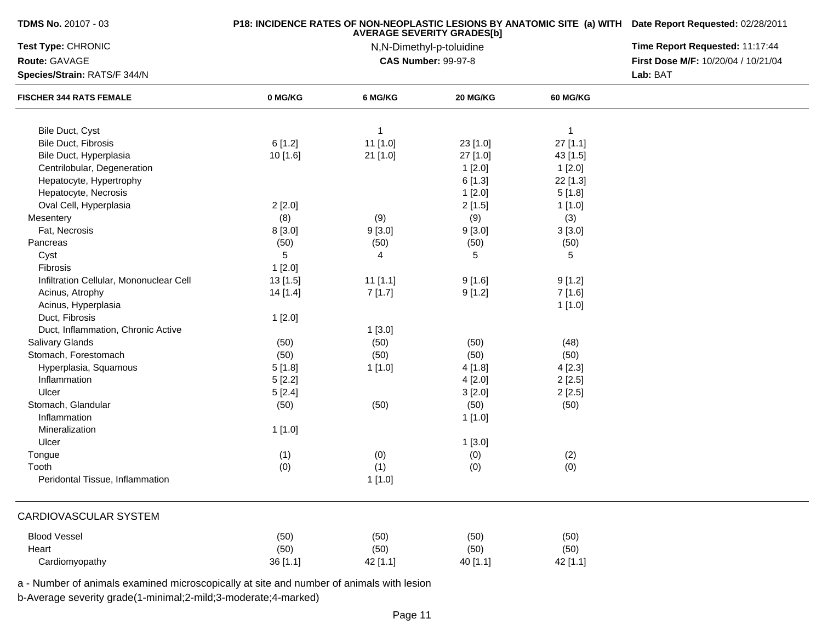| <b>TDMS No. 20107 - 03</b>              |          | P18: INCIDENCE RATES OF NON-NEOPLASTIC LESIONS BY ANATOMIC SITE (a) WITH Date Report Requested: 02/28/2011 |                            |                 |                                                 |  |  |
|-----------------------------------------|----------|------------------------------------------------------------------------------------------------------------|----------------------------|-----------------|-------------------------------------------------|--|--|
| <b>Test Type: CHRONIC</b>               |          | Time Report Requested: 11:17:44                                                                            |                            |                 |                                                 |  |  |
| Route: GAVAGE                           |          |                                                                                                            | <b>CAS Number: 99-97-8</b> |                 | First Dose M/F: 10/20/04 / 10/21/04<br>Lab: BAT |  |  |
| Species/Strain: RATS/F 344/N            |          |                                                                                                            |                            |                 |                                                 |  |  |
| <b>FISCHER 344 RATS FEMALE</b>          | 0 MG/KG  | 6 MG/KG                                                                                                    | 20 MG/KG                   | <b>60 MG/KG</b> |                                                 |  |  |
| Bile Duct, Cyst                         |          | 1                                                                                                          |                            | $\mathbf{1}$    |                                                 |  |  |
| <b>Bile Duct, Fibrosis</b>              | 6[1.2]   | 11 [1.0]                                                                                                   | 23 [1.0]                   | 27 [1.1]        |                                                 |  |  |
| Bile Duct, Hyperplasia                  | 10 [1.6] | 21 [1.0]                                                                                                   | 27 [1.0]                   | 43 [1.5]        |                                                 |  |  |
| Centrilobular, Degeneration             |          |                                                                                                            | 1[2.0]                     | 1[2.0]          |                                                 |  |  |
| Hepatocyte, Hypertrophy                 |          |                                                                                                            | 6[1.3]                     | 22 [1.3]        |                                                 |  |  |
| Hepatocyte, Necrosis                    |          |                                                                                                            | 1[2.0]                     | 5[1.8]          |                                                 |  |  |
| Oval Cell, Hyperplasia                  | 2[2.0]   |                                                                                                            | 2[1.5]                     | 1[1.0]          |                                                 |  |  |
| Mesentery                               | (8)      | (9)                                                                                                        | (9)                        | (3)             |                                                 |  |  |
| Fat, Necrosis                           | 8 [3.0]  | 9[3.0]                                                                                                     | 9[3.0]                     | 3[3.0]          |                                                 |  |  |
| Pancreas                                | (50)     | (50)                                                                                                       | (50)                       | (50)            |                                                 |  |  |
| Cyst                                    | 5        | 4                                                                                                          | 5                          | 5               |                                                 |  |  |
| Fibrosis                                | 1[2.0]   |                                                                                                            |                            |                 |                                                 |  |  |
| Infiltration Cellular, Mononuclear Cell | 13 [1.5] | $11$ [1.1]                                                                                                 | 9[1.6]                     | 9[1.2]          |                                                 |  |  |
| Acinus, Atrophy                         | 14[1.4]  | 7[1.7]                                                                                                     | 9[1.2]                     | 7 [1.6]         |                                                 |  |  |
| Acinus, Hyperplasia                     |          |                                                                                                            |                            | 1[1.0]          |                                                 |  |  |
| Duct, Fibrosis                          | 1[2.0]   |                                                                                                            |                            |                 |                                                 |  |  |
| Duct, Inflammation, Chronic Active      |          | 1[3.0]                                                                                                     |                            |                 |                                                 |  |  |
| <b>Salivary Glands</b>                  | (50)     | (50)                                                                                                       | (50)                       | (48)            |                                                 |  |  |
| Stomach, Forestomach                    | (50)     | (50)                                                                                                       | (50)                       | (50)            |                                                 |  |  |
| Hyperplasia, Squamous                   | 5[1.8]   | 1 [1.0]                                                                                                    | 4[1.8]                     | 4[2.3]          |                                                 |  |  |
| Inflammation                            | 5[2.2]   |                                                                                                            | 4[2.0]                     | 2[2.5]          |                                                 |  |  |
| Ulcer                                   | 5[2.4]   |                                                                                                            | 3[2.0]                     | 2[2.5]          |                                                 |  |  |
| Stomach, Glandular                      | (50)     | (50)                                                                                                       | (50)                       | (50)            |                                                 |  |  |
| Inflammation                            |          |                                                                                                            | 1[1.0]                     |                 |                                                 |  |  |
| Mineralization                          | 1[1.0]   |                                                                                                            |                            |                 |                                                 |  |  |
| Ulcer                                   |          |                                                                                                            | 1[3.0]                     |                 |                                                 |  |  |
| Tongue                                  | (1)      | (0)                                                                                                        | (0)                        | (2)             |                                                 |  |  |
| Tooth                                   | (0)      | (1)                                                                                                        | (0)                        | (0)             |                                                 |  |  |
| Peridontal Tissue, Inflammation         |          | 1[1.0]                                                                                                     |                            |                 |                                                 |  |  |
| CARDIOVASCULAR SYSTEM                   |          |                                                                                                            |                            |                 |                                                 |  |  |
| <b>Blood Vessel</b>                     | (50)     | (50)                                                                                                       | (50)                       | (50)            |                                                 |  |  |
| Heart                                   | (50)     | (50)                                                                                                       | (50)                       | (50)            |                                                 |  |  |
| Cardiomyopathy                          | 36 [1.1] | 42 [1.1]                                                                                                   | 40 [1.1]                   | 42 [1.1]        |                                                 |  |  |

a - Number of animals examined microscopically at site and number of animals with lesion

b-Average severity grade(1-minimal;2-mild;3-moderate;4-marked)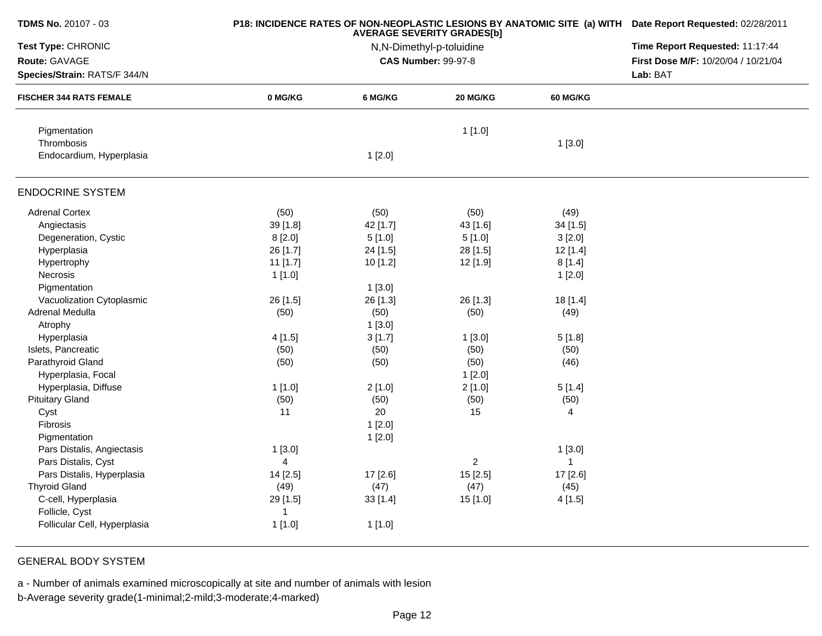| <b>TDMS No. 20107 - 03</b>     |                      | <b>P18: INCIDENCE RATES OF NON-NEOPLASTIC LESIONS BY ANATOMIC SITE (a) WITH Date Report Requested: 02/28/2011</b> |                            |                 |                                     |  |  |
|--------------------------------|----------------------|-------------------------------------------------------------------------------------------------------------------|----------------------------|-----------------|-------------------------------------|--|--|
| Test Type: CHRONIC             |                      | Time Report Requested: 11:17:44                                                                                   |                            |                 |                                     |  |  |
| Route: GAVAGE                  |                      |                                                                                                                   | <b>CAS Number: 99-97-8</b> |                 | First Dose M/F: 10/20/04 / 10/21/04 |  |  |
| Species/Strain: RATS/F 344/N   |                      |                                                                                                                   |                            |                 |                                     |  |  |
| <b>FISCHER 344 RATS FEMALE</b> | 0 MG/KG              | 6 MG/KG                                                                                                           | 20 MG/KG                   | <b>60 MG/KG</b> |                                     |  |  |
| Pigmentation                   |                      |                                                                                                                   | 1[1.0]                     |                 |                                     |  |  |
| Thrombosis                     |                      |                                                                                                                   |                            | 1[3.0]          |                                     |  |  |
| Endocardium, Hyperplasia       |                      | 1[2.0]                                                                                                            |                            |                 |                                     |  |  |
| <b>ENDOCRINE SYSTEM</b>        |                      |                                                                                                                   |                            |                 |                                     |  |  |
| <b>Adrenal Cortex</b>          | (50)                 | (50)                                                                                                              | (50)                       | (49)            |                                     |  |  |
| Angiectasis                    | 39 [1.8]             | 42 [1.7]                                                                                                          | 43 [1.6]                   | 34 [1.5]        |                                     |  |  |
| Degeneration, Cystic           | 8[2.0]               | 5[1.0]                                                                                                            | 5[1.0]                     | 3[2.0]          |                                     |  |  |
| Hyperplasia                    | 26 [1.7]             | 24 [1.5]                                                                                                          | 28 [1.5]                   | 12 [1.4]        |                                     |  |  |
| Hypertrophy                    | 11 [1.7]             | 10 [1.2]                                                                                                          | 12 [1.9]                   | 8[1.4]          |                                     |  |  |
| Necrosis                       | 1[1.0]               |                                                                                                                   |                            | 1[2.0]          |                                     |  |  |
| Pigmentation                   |                      | 1[3.0]                                                                                                            |                            |                 |                                     |  |  |
| Vacuolization Cytoplasmic      | 26 [1.5]             | 26 [1.3]                                                                                                          | 26 [1.3]                   | 18[1.4]         |                                     |  |  |
| Adrenal Medulla                | (50)                 | (50)                                                                                                              | (50)                       | (49)            |                                     |  |  |
| Atrophy                        |                      | 1[3.0]                                                                                                            |                            |                 |                                     |  |  |
| Hyperplasia                    | 4[1.5]               | 3[1.7]                                                                                                            | 1[3.0]                     | 5[1.8]          |                                     |  |  |
| Islets, Pancreatic             | (50)                 | (50)                                                                                                              | (50)                       | (50)            |                                     |  |  |
| Parathyroid Gland              | (50)                 | (50)                                                                                                              | (50)                       | (46)            |                                     |  |  |
| Hyperplasia, Focal             |                      |                                                                                                                   | 1[2.0]                     |                 |                                     |  |  |
| Hyperplasia, Diffuse           | 1[1.0]               | 2[1.0]                                                                                                            | 2[1.0]                     | 5[1.4]          |                                     |  |  |
| <b>Pituitary Gland</b>         | (50)                 | (50)                                                                                                              | (50)                       | (50)            |                                     |  |  |
| Cyst                           | 11                   | 20                                                                                                                | 15                         | 4               |                                     |  |  |
| Fibrosis                       |                      | 1[2.0]                                                                                                            |                            |                 |                                     |  |  |
| Pigmentation                   |                      | 1[2.0]                                                                                                            |                            |                 |                                     |  |  |
| Pars Distalis, Angiectasis     | 1[3.0]               |                                                                                                                   |                            | 1[3.0]          |                                     |  |  |
| Pars Distalis, Cyst            | 4                    |                                                                                                                   | $\overline{2}$             | $\mathbf{1}$    |                                     |  |  |
| Pars Distalis, Hyperplasia     | 14 [2.5]             | 17 [2.6]                                                                                                          | 15 [2.5]                   | 17 [2.6]        |                                     |  |  |
| <b>Thyroid Gland</b>           | (49)                 | (47)                                                                                                              | (47)                       | (45)            |                                     |  |  |
| C-cell, Hyperplasia            | 29 [1.5]             | $33$ [1.4]                                                                                                        | 15 [1.0]                   | 4[1.5]          |                                     |  |  |
| Follicle, Cyst                 | $\blacktriangleleft$ |                                                                                                                   |                            |                 |                                     |  |  |
| Follicular Cell, Hyperplasia   | 1[1.0]               | 1[1.0]                                                                                                            |                            |                 |                                     |  |  |

## GENERAL BODY SYSTEM

a - Number of animals examined microscopically at site and number of animals with lesion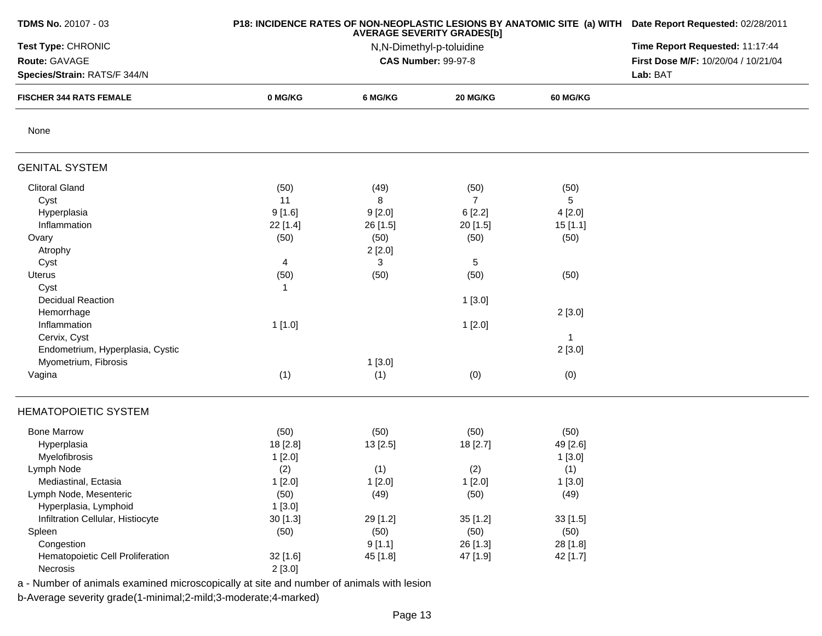| <b>TDMS No. 20107 - 03</b>                                     |             | P18: INCIDENCE RATES OF NON-NEOPLASTIC LESIONS BY ANATOMIC SITE (a) WITH Date Report Requested: 02/28/2011<br><b>AVERAGE SEVERITY GRADES[b]</b> |                            |                 |                                                                        |  |
|----------------------------------------------------------------|-------------|-------------------------------------------------------------------------------------------------------------------------------------------------|----------------------------|-----------------|------------------------------------------------------------------------|--|
| Test Type: CHRONIC                                             |             |                                                                                                                                                 | N,N-Dimethyl-p-toluidine   |                 | Time Report Requested: 11:17:44<br>First Dose M/F: 10/20/04 / 10/21/04 |  |
| Route: GAVAGE                                                  |             |                                                                                                                                                 | <b>CAS Number: 99-97-8</b> |                 |                                                                        |  |
| Species/Strain: RATS/F 344/N<br><b>FISCHER 344 RATS FEMALE</b> |             | Lab: BAT                                                                                                                                        |                            |                 |                                                                        |  |
|                                                                | 0 MG/KG     | 6 MG/KG                                                                                                                                         | 20 MG/KG                   | <b>60 MG/KG</b> |                                                                        |  |
| None                                                           |             |                                                                                                                                                 |                            |                 |                                                                        |  |
| <b>GENITAL SYSTEM</b>                                          |             |                                                                                                                                                 |                            |                 |                                                                        |  |
| <b>Clitoral Gland</b>                                          | (50)        | (49)                                                                                                                                            | (50)                       | (50)            |                                                                        |  |
| Cyst                                                           | 11          | 8                                                                                                                                               | $\overline{7}$             | 5               |                                                                        |  |
| Hyperplasia                                                    | 9[1.6]      | 9[2.0]                                                                                                                                          | 6[2.2]                     | 4[2.0]          |                                                                        |  |
| Inflammation                                                   | 22 [1.4]    | 26 [1.5]                                                                                                                                        | 20 [1.5]                   | 15[1.1]         |                                                                        |  |
| Ovary                                                          | (50)        | (50)                                                                                                                                            | (50)                       | (50)            |                                                                        |  |
| Atrophy                                                        |             | 2[2.0]                                                                                                                                          |                            |                 |                                                                        |  |
| Cyst                                                           | 4           | 3                                                                                                                                               | $\sqrt{5}$                 |                 |                                                                        |  |
| Uterus                                                         | (50)        | (50)                                                                                                                                            | (50)                       | (50)            |                                                                        |  |
| Cyst                                                           | $\mathbf 1$ |                                                                                                                                                 |                            |                 |                                                                        |  |
| <b>Decidual Reaction</b>                                       |             |                                                                                                                                                 | 1[3.0]                     |                 |                                                                        |  |
| Hemorrhage                                                     |             |                                                                                                                                                 |                            | 2[3.0]          |                                                                        |  |
| Inflammation                                                   | 1[1.0]      |                                                                                                                                                 | 1[2.0]                     |                 |                                                                        |  |
| Cervix, Cyst                                                   |             |                                                                                                                                                 |                            | $\mathbf{1}$    |                                                                        |  |
| Endometrium, Hyperplasia, Cystic                               |             |                                                                                                                                                 |                            | 2[3.0]          |                                                                        |  |
| Myometrium, Fibrosis                                           |             | 1[3.0]                                                                                                                                          |                            |                 |                                                                        |  |
| Vagina                                                         | (1)         | (1)                                                                                                                                             | (0)                        | (0)             |                                                                        |  |
|                                                                |             |                                                                                                                                                 |                            |                 |                                                                        |  |
| <b>HEMATOPOIETIC SYSTEM</b>                                    |             |                                                                                                                                                 |                            |                 |                                                                        |  |
| <b>Bone Marrow</b>                                             | (50)        | (50)                                                                                                                                            | (50)                       | (50)            |                                                                        |  |
| Hyperplasia                                                    | 18 [2.8]    | 13 [2.5]                                                                                                                                        | 18 [2.7]                   | 49 [2.6]        |                                                                        |  |
| Myelofibrosis                                                  | 1[2.0]      |                                                                                                                                                 |                            | 1[3.0]          |                                                                        |  |
| Lymph Node                                                     | (2)         | (1)                                                                                                                                             | (2)                        | (1)             |                                                                        |  |
| Mediastinal, Ectasia                                           | 1[2.0]      | 1[2.0]                                                                                                                                          | 1[2.0]                     | 1[3.0]          |                                                                        |  |
| Lymph Node, Mesenteric                                         | (50)        | (49)                                                                                                                                            | (50)                       | (49)            |                                                                        |  |
| Hyperplasia, Lymphoid                                          | 1[3.0]      |                                                                                                                                                 |                            |                 |                                                                        |  |
| Infiltration Cellular, Histiocyte                              | 30 [1.3]    | 29 [1.2]                                                                                                                                        | 35 [1.2]                   | 33 [1.5]        |                                                                        |  |
| Spleen                                                         | (50)        | (50)                                                                                                                                            | (50)                       | (50)            |                                                                        |  |
| Congestion                                                     |             | 9[1.1]                                                                                                                                          | 26 [1.3]                   | 28 [1.8]        |                                                                        |  |
| Hematopoietic Cell Proliferation                               | 32 [1.6]    | 45 [1.8]                                                                                                                                        | 47 [1.9]                   | 42 [1.7]        |                                                                        |  |
| Necrosis                                                       | 2[3.0]      |                                                                                                                                                 |                            |                 |                                                                        |  |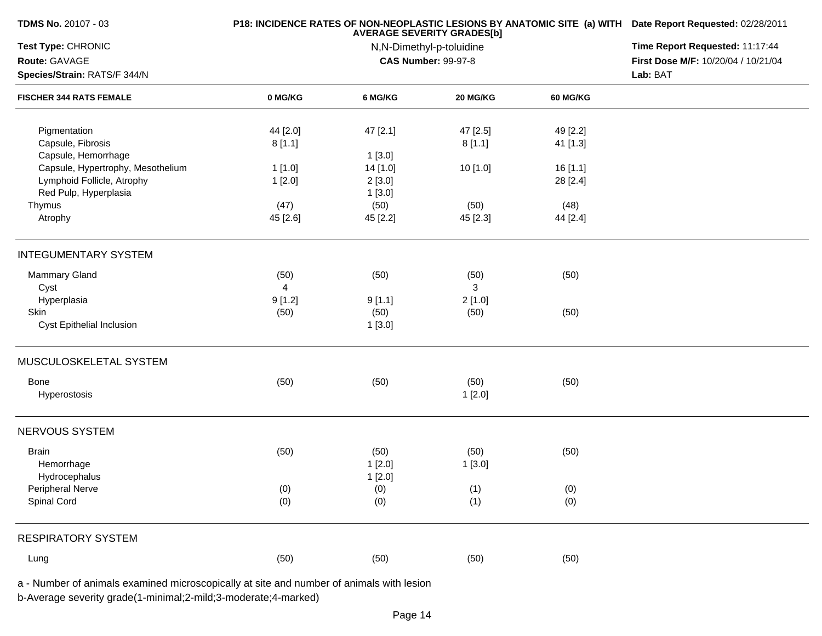| TDMS No. 20107 - 03                                            |          | P18: INCIDENCE RATES OF NON-NEOPLASTIC LESIONS BY ANATOMIC SITE (a) WITH<br><b>AVERAGE SEVERITY GRADES[b]</b> |                            |                 |                                                                        |  |
|----------------------------------------------------------------|----------|---------------------------------------------------------------------------------------------------------------|----------------------------|-----------------|------------------------------------------------------------------------|--|
| Test Type: CHRONIC                                             |          | N,N-Dimethyl-p-toluidine                                                                                      |                            |                 |                                                                        |  |
| Route: GAVAGE                                                  |          |                                                                                                               | <b>CAS Number: 99-97-8</b> |                 | Time Report Requested: 11:17:44<br>First Dose M/F: 10/20/04 / 10/21/04 |  |
| Species/Strain: RATS/F 344/N<br><b>FISCHER 344 RATS FEMALE</b> |          | Lab: BAT                                                                                                      |                            |                 |                                                                        |  |
|                                                                | 0 MG/KG  | 6 MG/KG                                                                                                       | 20 MG/KG                   | <b>60 MG/KG</b> |                                                                        |  |
| Pigmentation                                                   | 44 [2.0] | 47 [2.1]                                                                                                      | 47 [2.5]                   | 49 [2.2]        |                                                                        |  |
| Capsule, Fibrosis                                              | 8[1.1]   |                                                                                                               | 8[1.1]                     | 41 [1.3]        |                                                                        |  |
| Capsule, Hemorrhage                                            |          | 1[3.0]                                                                                                        |                            |                 |                                                                        |  |
| Capsule, Hypertrophy, Mesothelium                              | 1[1.0]   | 14 [1.0]                                                                                                      | 10 [1.0]                   | 16 [1.1]        |                                                                        |  |
| Lymphoid Follicle, Atrophy                                     | 1[2.0]   | 2[3.0]                                                                                                        |                            | 28 [2.4]        |                                                                        |  |
| Red Pulp, Hyperplasia                                          |          | 1[3.0]                                                                                                        |                            |                 |                                                                        |  |
| Thymus                                                         | (47)     | (50)                                                                                                          | (50)                       | (48)            |                                                                        |  |
| Atrophy                                                        | 45 [2.6] | 45 [2.2]                                                                                                      | 45 [2.3]                   | 44 [2.4]        |                                                                        |  |
| <b>INTEGUMENTARY SYSTEM</b>                                    |          |                                                                                                               |                            |                 |                                                                        |  |
| Mammary Gland                                                  | (50)     | (50)                                                                                                          | (50)                       | (50)            |                                                                        |  |
| Cyst                                                           | 4        |                                                                                                               | 3                          |                 |                                                                        |  |
| Hyperplasia                                                    | 9[1.2]   | 9[1.1]                                                                                                        | 2[1.0]                     |                 |                                                                        |  |
| Skin                                                           | (50)     | (50)                                                                                                          | (50)                       | (50)            |                                                                        |  |
| Cyst Epithelial Inclusion                                      |          | 1[3.0]                                                                                                        |                            |                 |                                                                        |  |
| MUSCULOSKELETAL SYSTEM                                         |          |                                                                                                               |                            |                 |                                                                        |  |
| Bone                                                           | (50)     | (50)                                                                                                          | (50)                       | (50)            |                                                                        |  |
| Hyperostosis                                                   |          |                                                                                                               | 1[2.0]                     |                 |                                                                        |  |
| NERVOUS SYSTEM                                                 |          |                                                                                                               |                            |                 |                                                                        |  |
| <b>Brain</b>                                                   | (50)     | (50)                                                                                                          | (50)                       | (50)            |                                                                        |  |
| Hemorrhage                                                     |          | 1[2.0]                                                                                                        | 1[3.0]                     |                 |                                                                        |  |
| Hydrocephalus                                                  |          | 1[2.0]                                                                                                        |                            |                 |                                                                        |  |
| Peripheral Nerve                                               | (0)      | (0)                                                                                                           | (1)                        | (0)             |                                                                        |  |
| Spinal Cord                                                    | (0)      | (0)                                                                                                           | (1)                        | (0)             |                                                                        |  |
| <b>RESPIRATORY SYSTEM</b>                                      |          |                                                                                                               |                            |                 |                                                                        |  |
| Lung                                                           | (50)     | (50)                                                                                                          | (50)                       | (50)            |                                                                        |  |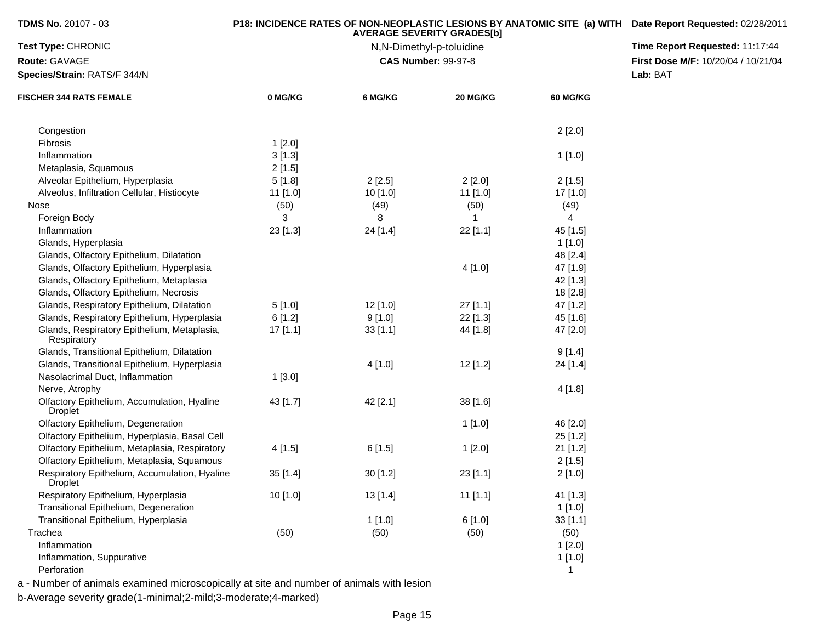| <b>TDMS No.</b> 20107 - 03                                      |            | <b>AVERAGE SEVERITY GRADES[b]</b> |                            | <b>P18: INCIDENCE RATES OF NON-NEOPLASTIC LESIONS BY ANATOMIC SITE (a) WITH Date Report Requested: 02/28/2011</b> |                                     |  |  |
|-----------------------------------------------------------------|------------|-----------------------------------|----------------------------|-------------------------------------------------------------------------------------------------------------------|-------------------------------------|--|--|
| Test Type: CHRONIC                                              |            | Time Report Requested: 11:17:44   |                            |                                                                                                                   |                                     |  |  |
| Route: GAVAGE                                                   |            |                                   | <b>CAS Number: 99-97-8</b> |                                                                                                                   | First Dose M/F: 10/20/04 / 10/21/04 |  |  |
| Species/Strain: RATS/F 344/N                                    |            |                                   |                            |                                                                                                                   | Lab: BAT                            |  |  |
| <b>FISCHER 344 RATS FEMALE</b>                                  | 0 MG/KG    | 6 MG/KG                           | 20 MG/KG                   | <b>60 MG/KG</b>                                                                                                   |                                     |  |  |
| Congestion                                                      |            |                                   |                            | 2[2.0]                                                                                                            |                                     |  |  |
| Fibrosis                                                        | 1[2.0]     |                                   |                            |                                                                                                                   |                                     |  |  |
| Inflammation                                                    | 3[1.3]     |                                   |                            | 1[1.0]                                                                                                            |                                     |  |  |
| Metaplasia, Squamous                                            | 2[1.5]     |                                   |                            |                                                                                                                   |                                     |  |  |
| Alveolar Epithelium, Hyperplasia                                | 5[1.8]     | 2[2.5]                            | 2[2.0]                     | 2[1.5]                                                                                                            |                                     |  |  |
| Alveolus, Infiltration Cellular, Histiocyte                     | 11 [1.0]   | 10 [1.0]                          | 11 [1.0]                   | 17 [1.0]                                                                                                          |                                     |  |  |
| Nose                                                            | (50)       | (49)                              | (50)                       | (49)                                                                                                              |                                     |  |  |
| Foreign Body                                                    | 3          | 8                                 | 1                          | $\overline{4}$                                                                                                    |                                     |  |  |
| Inflammation                                                    | $23$ [1.3] | 24 [1.4]                          | 22 [1.1]                   | 45 [1.5]                                                                                                          |                                     |  |  |
| Glands, Hyperplasia                                             |            |                                   |                            | 1[1.0]                                                                                                            |                                     |  |  |
| Glands, Olfactory Epithelium, Dilatation                        |            |                                   |                            | 48 [2.4]                                                                                                          |                                     |  |  |
| Glands, Olfactory Epithelium, Hyperplasia                       |            |                                   | 4[1.0]                     | 47 [1.9]                                                                                                          |                                     |  |  |
| Glands, Olfactory Epithelium, Metaplasia                        |            |                                   |                            | 42 [1.3]                                                                                                          |                                     |  |  |
| Glands, Olfactory Epithelium, Necrosis                          |            |                                   |                            | 18 [2.8]                                                                                                          |                                     |  |  |
| Glands, Respiratory Epithelium, Dilatation                      | 5[1.0]     | $12$ [1.0]                        | $27$ [1.1]                 | 47 [1.2]                                                                                                          |                                     |  |  |
| Glands, Respiratory Epithelium, Hyperplasia                     | 6[1.2]     | 9[1.0]                            | $22$ [1.3]                 | 45 [1.6]                                                                                                          |                                     |  |  |
| Glands, Respiratory Epithelium, Metaplasia,<br>Respiratory      | $17$ [1.1] | 33[1.1]                           | 44 [1.8]                   | 47 [2.0]                                                                                                          |                                     |  |  |
| Glands, Transitional Epithelium, Dilatation                     |            |                                   |                            | 9[1.4]                                                                                                            |                                     |  |  |
| Glands, Transitional Epithelium, Hyperplasia                    |            | 4 [1.0]                           | 12 [1.2]                   | 24 [1.4]                                                                                                          |                                     |  |  |
| Nasolacrimal Duct, Inflammation                                 | 1[3.0]     |                                   |                            |                                                                                                                   |                                     |  |  |
| Nerve, Atrophy                                                  |            |                                   |                            | 4 [1.8]                                                                                                           |                                     |  |  |
| Olfactory Epithelium, Accumulation, Hyaline<br><b>Droplet</b>   | 43 [1.7]   | 42 [2.1]                          | 38 [1.6]                   |                                                                                                                   |                                     |  |  |
| Olfactory Epithelium, Degeneration                              |            |                                   | 1[1.0]                     | 46 [2.0]                                                                                                          |                                     |  |  |
| Olfactory Epithelium, Hyperplasia, Basal Cell                   |            |                                   |                            | 25 [1.2]                                                                                                          |                                     |  |  |
| Olfactory Epithelium, Metaplasia, Respiratory                   | 4[1.5]     | 6[1.5]                            | 1[2.0]                     | 21 [1.2]                                                                                                          |                                     |  |  |
| Olfactory Epithelium, Metaplasia, Squamous                      |            |                                   |                            | 2[1.5]                                                                                                            |                                     |  |  |
| Respiratory Epithelium, Accumulation, Hyaline<br><b>Droplet</b> | 35[1.4]    | 30[1.2]                           | $23$ [1.1]                 | 2[1.0]                                                                                                            |                                     |  |  |
| Respiratory Epithelium, Hyperplasia                             | 10 [1.0]   | 13[1.4]                           | $11$ [1.1]                 | 41 [1.3]                                                                                                          |                                     |  |  |
| Transitional Epithelium, Degeneration                           |            |                                   |                            | 1[1.0]                                                                                                            |                                     |  |  |
| Transitional Epithelium, Hyperplasia                            |            | 1[1.0]                            | 6[1.0]                     | 33 [1.1]                                                                                                          |                                     |  |  |
| Trachea                                                         | (50)       | (50)                              | (50)                       | (50)                                                                                                              |                                     |  |  |
| Inflammation                                                    |            |                                   |                            | 1[2.0]                                                                                                            |                                     |  |  |
| Inflammation, Suppurative                                       |            |                                   |                            | 1[1.0]                                                                                                            |                                     |  |  |
| Perforation                                                     |            |                                   |                            | $\mathbf{1}$                                                                                                      |                                     |  |  |
|                                                                 |            |                                   |                            |                                                                                                                   |                                     |  |  |

a - Number of animals examined microscopically at site and number of animals with lesion

b-Average severity grade(1-minimal;2-mild;3-moderate;4-marked)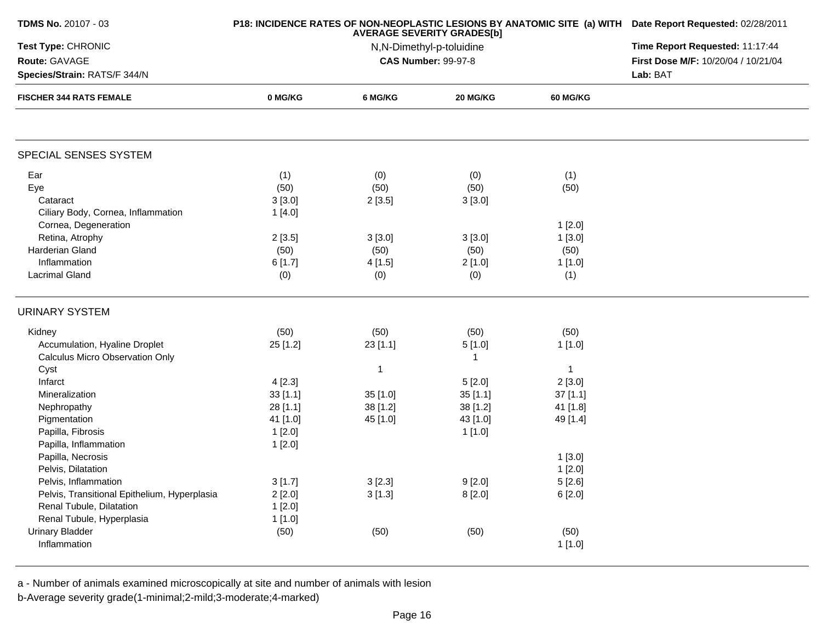| <b>TDMS No. 20107 - 03</b>                   |          | <b>AVERAGE SEVERITY GRADES[b]</b> | P18: INCIDENCE RATES OF NON-NEOPLASTIC LESIONS BY ANATOMIC SITE (a) WITH Date Report Requested: 02/28/2011 |                 |                                     |
|----------------------------------------------|----------|-----------------------------------|------------------------------------------------------------------------------------------------------------|-----------------|-------------------------------------|
| Test Type: CHRONIC                           |          | Time Report Requested: 11:17:44   |                                                                                                            |                 |                                     |
| Route: GAVAGE                                |          |                                   | <b>CAS Number: 99-97-8</b>                                                                                 |                 | First Dose M/F: 10/20/04 / 10/21/04 |
| Species/Strain: RATS/F 344/N                 |          | Lab: BAT                          |                                                                                                            |                 |                                     |
| <b>FISCHER 344 RATS FEMALE</b>               | 0 MG/KG  | 6 MG/KG                           | 20 MG/KG                                                                                                   | <b>60 MG/KG</b> |                                     |
| SPECIAL SENSES SYSTEM                        |          |                                   |                                                                                                            |                 |                                     |
| Ear                                          | (1)      | (0)                               | (0)                                                                                                        | (1)             |                                     |
| Eye                                          | (50)     | (50)                              | (50)                                                                                                       | (50)            |                                     |
| Cataract                                     | 3[3.0]   | 2[3.5]                            | 3[3.0]                                                                                                     |                 |                                     |
| Ciliary Body, Cornea, Inflammation           | 1[4.0]   |                                   |                                                                                                            |                 |                                     |
| Cornea, Degeneration                         |          |                                   |                                                                                                            | 1[2.0]          |                                     |
| Retina, Atrophy                              | 2[3.5]   | 3[3.0]                            | 3[3.0]                                                                                                     | 1[3.0]          |                                     |
| Harderian Gland                              | (50)     | (50)                              | (50)                                                                                                       | (50)            |                                     |
| Inflammation                                 | 6[1.7]   | 4 [1.5]                           | 2[1.0]                                                                                                     | 1[1.0]          |                                     |
| <b>Lacrimal Gland</b>                        | (0)      | (0)                               | (0)                                                                                                        | (1)             |                                     |
| <b>URINARY SYSTEM</b>                        |          |                                   |                                                                                                            |                 |                                     |
| Kidney                                       | (50)     | (50)                              | (50)                                                                                                       | (50)            |                                     |
| Accumulation, Hyaline Droplet                | 25[1.2]  | 23[1.1]                           | 5[1.0]                                                                                                     | 1 [1.0]         |                                     |
| <b>Calculus Micro Observation Only</b>       |          |                                   | $\overline{1}$                                                                                             |                 |                                     |
| Cyst                                         |          | 1                                 |                                                                                                            | $\mathbf{1}$    |                                     |
| Infarct                                      | 4[2.3]   |                                   | 5[2.0]                                                                                                     | 2[3.0]          |                                     |
| Mineralization                               | 33[1.1]  | 35 [1.0]                          | 35[1.1]                                                                                                    | $37$ [1.1]      |                                     |
| Nephropathy                                  | 28 [1.1] | 38 [1.2]                          | 38 [1.2]                                                                                                   | 41 [1.8]        |                                     |
| Pigmentation                                 | 41 [1.0] | 45 [1.0]                          | 43 [1.0]                                                                                                   | 49 [1.4]        |                                     |
| Papilla, Fibrosis                            | 1[2.0]   |                                   | 1[1.0]                                                                                                     |                 |                                     |
| Papilla, Inflammation                        | 1 [2.0]  |                                   |                                                                                                            |                 |                                     |
| Papilla, Necrosis                            |          |                                   |                                                                                                            | 1[3.0]          |                                     |
| Pelvis, Dilatation                           |          |                                   |                                                                                                            | 1[2.0]          |                                     |
| Pelvis, Inflammation                         | 3[1.7]   | 3[2.3]                            | 9[2.0]                                                                                                     | 5 [2.6]         |                                     |
| Pelvis, Transitional Epithelium, Hyperplasia | 2[2.0]   | 3[1.3]                            | 8[2.0]                                                                                                     | 6[2.0]          |                                     |
| Renal Tubule, Dilatation                     | 1[2.0]   |                                   |                                                                                                            |                 |                                     |
| Renal Tubule, Hyperplasia                    | 1[1.0]   |                                   |                                                                                                            |                 |                                     |
| <b>Urinary Bladder</b>                       | (50)     | (50)                              | (50)                                                                                                       | (50)            |                                     |
| Inflammation                                 |          |                                   |                                                                                                            | 1[1.0]          |                                     |